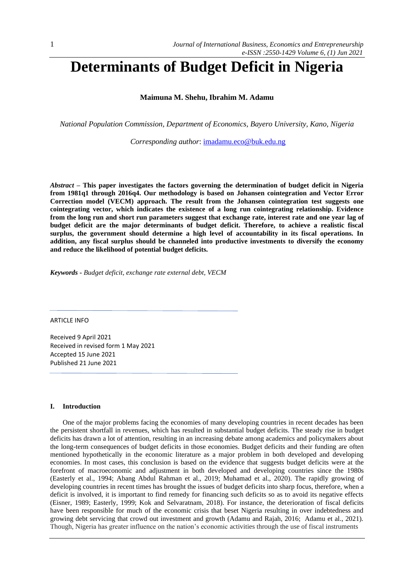# **Determinants of Budget Deficit in Nigeria**

**Maimuna M. Shehu, Ibrahim M. Adamu**

*National Population Commission, Department of Economics, Bayero University, Kano, Nigeria*

*Corresponding author*: [imadamu.eco@buk.edu.ng](mailto:imadamu.eco@buk.edu.ng)

*Abstract –* **This paper investigates the factors governing the determination of budget deficit in Nigeria from 1981q1 through 2016q4. Our methodology is based on Johansen cointegration and Vector Error Correction model (VECM) approach. The result from the Johansen cointegration test suggests one cointegrating vector, which indicates the existence of a long run cointegrating relationship. Evidence from the long run and short run parameters suggest that exchange rate, interest rate and one year lag of budget deficit are the major determinants of budget deficit. Therefore, to achieve a realistic fiscal surplus, the government should determine a high level of accountability in its fiscal operations. In addition, any fiscal surplus should be channeled into productive investments to diversify the economy and reduce the likelihood of potential budget deficits.** 

*Keywords* **-** *Budget deficit, exchange rate external debt, VECM*

ARTICLE INFO

Received 9 April 2021 Received in revised form 1 May 2021 Accepted 15 June 2021 Published 21 June 2021

#### **I. Introduction**

One of the major problems facing the economies of many developing countries in recent decades has been the persistent shortfall in revenues, which has resulted in substantial budget deficits. The steady rise in budget deficits has drawn a lot of attention, resulting in an increasing debate among academics and policymakers about the long-term consequences of budget deficits in those economies. Budget deficits and their funding are often mentioned hypothetically in the economic literature as a major problem in both developed and developing economies. In most cases, this conclusion is based on the evidence that suggests budget deficits were at the forefront of macroeconomic and adjustment in both developed and developing countries since the 1980s (Easterly et al., 1994; Abang Abdul Rahman et al., 2019; Muhamad et al., 2020). The rapidly growing of developing countries in recent times has brought the issues of budget deficits into sharp focus, therefore, when a deficit is involved, it is important to find remedy for financing such deficits so as to avoid its negative effects (Eisner, 1989; Easterly, 1999; Kok and Selvaratnam, 2018). For instance, the deterioration of fiscal deficits have been responsible for much of the economic crisis that beset Nigeria resulting in over indebtedness and growing debt servicing that crowd out investment and growth (Adamu and Rajah, 2016; Adamu et al., 2021). Though, Nigeria has greater influence on the nation's economic activities through the use of fiscal instruments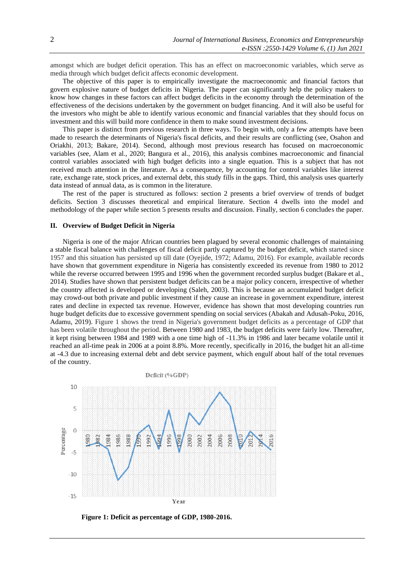amongst which are budget deficit operation. This has an effect on macroeconomic variables, which serve as media through which budget deficit affects economic development.

The objective of this paper is to empirically investigate the macroeconomic and financial factors that govern explosive nature of budget deficits in Nigeria. The paper can significantly help the policy makers to know how changes in these factors can affect budget deficits in the economy through the determination of the effectiveness of the decisions undertaken by the government on budget financing. And it will also be useful for the investors who might be able to identify various economic and financial variables that they should focus on investment and this will build more confidence in them to make sound investment decisions.

This paper is distinct from previous research in three ways. To begin with, only a few attempts have been made to research the determinants of Nigeria's fiscal deficits, and their results are conflicting (see, Osahon and Oriakhi, 2013; Bakare, 2014). Second, although most previous research has focused on macroeconomic variables (see, Alam et al., 2020; Bangura et al., 2016), this analysis combines macroeconomic and financial control variables associated with high budget deficits into a single equation. This is a subject that has not received much attention in the literature. As a consequence, by accounting for control variables like interest rate, exchange rate, stock prices, and external debt, this study fills in the gaps. Third, this analysis uses quarterly data instead of annual data, as is common in the literature.

The rest of the paper is structured as follows: section 2 presents a brief overview of trends of budget deficits. Section 3 discusses theoretical and empirical literature. Section 4 dwells into the model and methodology of the paper while section 5 presents results and discussion. Finally, section 6 concludes the paper.

### **II. Overview of Budget Deficit in Nigeria**

Nigeria is one of the major African countries been plagued by several economic challenges of maintaining a stable fiscal balance with challenges of fiscal deficit partly captured by the budget deficit, which started since 1957 and this situation has persisted up till date (Oyejide, 1972; Adamu, 2016). For example, available records have shown that government expenditure in Nigeria has consistently exceeded its revenue from 1980 to 2012 while the reverse occurred between 1995 and 1996 when the government recorded surplus budget (Bakare et al., 2014). Studies have shown that persistent budget deficits can be a major policy concern, irrespective of whether the country affected is developed or developing (Saleh, 2003). This is because an accumulated budget deficit may crowd-out both private and public investment if they cause an increase in government expenditure, interest rates and decline in expected tax revenue. However, evidence has shown that most developing countries run huge budget deficits due to excessive government spending on social services (Abakah and Adusah-Poku, 2016, Adamu, 2019). Figure 1 shows the trend in Nigeria's government budget deficits as a percentage of GDP that has been volatile throughout the period. Between 1980 and 1983, the budget deficits were fairly low. Thereafter, it kept rising between 1984 and 1989 with a one time high of -11.3% in 1986 and later became volatile until it reached an all-time peak in 2006 at a point 8.8%. More recently, specifically in 2016, the budget hit an all-time at -4.3 due to increasing external debt and debt service payment, which engulf about half of the total revenues of the country.



 **Figure 1: Deficit as percentage of GDP, 1980-2016.**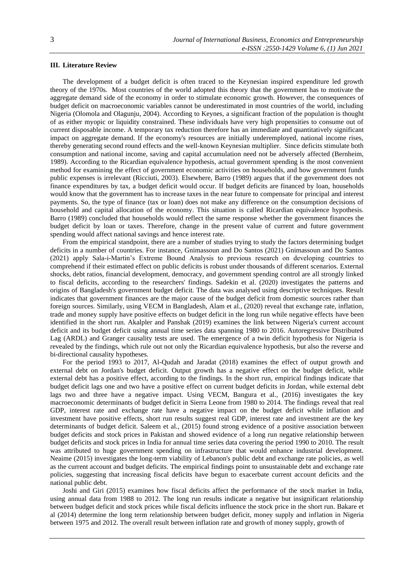## **III. Literature Review**

The development of a budget deficit is often traced to the Keynesian inspired expenditure led growth theory of the 1970s. Most countries of the world adopted this theory that the government has to motivate the aggregate demand side of the economy in order to stimulate economic growth. However, the consequences of budget deficit on macroeconomic variables cannot be underestimated in most countries of the world, including Nigeria (Olomola and Olagunju, 2004). According to Keynes, a significant fraction of the population is thought of as either myopic or liquidity constrained. These individuals have very high propensities to consume out of current disposable income. A temporary tax reduction therefore has an immediate and quantitatively significant impact on aggregate demand. If the economy's resources are initially underemployed, national income rises, thereby generating second round effects and the well-known Keynesian multiplier. Since deficits stimulate both consumption and national income, saving and capital accumulation need not be adversely affected (Bernheim, 1989). According to the Ricardian equivalence hypothesis, actual government spending is the most convenient method for examining the effect of government economic activities on households, and how government funds public expenses is irrelevant (Ricciuti, 2003). Elsewhere, Barro (1989) argues that if the government does not finance expenditures by tax, a budget deficit would occur. If budget deficits are financed by loan, households would know that the government has to increase taxes in the near future to compensate for principal and interest payments. So, the type of finance (tax or loan) does not make any difference on the consumption decisions of household and capital allocation of the economy. This situation is called Ricardian equivalence hypothesis. Barro (1989) concluded that households would reflect the same response whether the government finances the budget deficit by loan or taxes. Therefore, change in the present value of current and future government spending would affect national savings and hence interest rate.

From the empirical standpoint, there are a number of studies trying to study the factors determining budget deficits in a number of countries. For instance, Gnimassoun and Do Santos (2021) Gnimassoun and Do Santos (2021) apply Sala-i-Martin's Extreme Bound Analysis to previous research on developing countries to comprehend if their estimated effect on public deficits is robust under thousands of different scenarios. External shocks, debt ratios, financial development, democracy, and government spending control are all strongly linked to fiscal deficits, according to the researchers' findings. Sadekin et al. (2020) investigates the patterns and origins of Bangladesh's government budget deficit. The data was analysed using descriptive techniques. Result indicates that government finances are the major cause of the budget deficit from domestic sources rather than foreign sources. Similarly, using VECM in Bangladesh, Alam et al., (2020) reveal that exchange rate, inflation, trade and money supply have positive effects on budget deficit in the long run while negative effects have been identified in the short run. Akalpler and Panshak (2019) examines the link between Nigeria's current account deficit and its budget deficit using annual time series data spanning 1980 to 2016. Autoregressive Distributed Lag (ARDL) and Granger causality tests are used. The emergence of a twin deficit hypothesis for Nigeria is revealed by the findings, which rule out not only the Ricardian equivalence hypothesis, but also the reverse and bi-directional causality hypotheses.

For the period 1993 to 2017, Al-Qudah and Jaradat (2018) examines the effect of output growth and external debt on Jordan's budget deficit. Output growth has a negative effect on the budget deficit, while external debt has a positive effect, according to the findings. In the short run, empirical findings indicate that budget deficit lags one and two have a positive effect on current budget deficits in Jordan, while external debt lags two and three have a negative impact. Using VECM, Bangura et al., (2016) investigates the key macroeconomic determinants of budget deficit in Sierra Leone from 1980 to 2014. The findings reveal that real GDP, interest rate and exchange rate have a negative impact on the budget deficit while inflation and investment have positive effects, short run results suggest real GDP, interest rate and investment are the key determinants of budget deficit. Saleem et al., (2015) found strong evidence of a positive association between budget deficits and stock prices in Pakistan and showed evidence of a long run negative relationship between budget deficits and stock prices in India for annual time series data covering the period 1990 to 2010. The result was attributed to huge government spending on infrastructure that would enhance industrial development. Neaime (2015) investigates the long-term viability of Lebanon's public debt and exchange rate policies, as well as the current account and budget deficits. The empirical findings point to unsustainable debt and exchange rate policies, suggesting that increasing fiscal deficits have begun to exacerbate current account deficits and the national public debt.

Joshi and Giri (2015) examines how fiscal deficits affect the performance of the stock market in India, using annual data from 1988 to 2012. The long run results indicate a negative but insignificant relationship between budget deficit and stock prices while fiscal deficits influence the stock price in the short run. Bakare et al (2014) determine the long term relationship between budget deficit, money supply and inflation in Nigeria between 1975 and 2012. The overall result between inflation rate and growth of money supply, growth of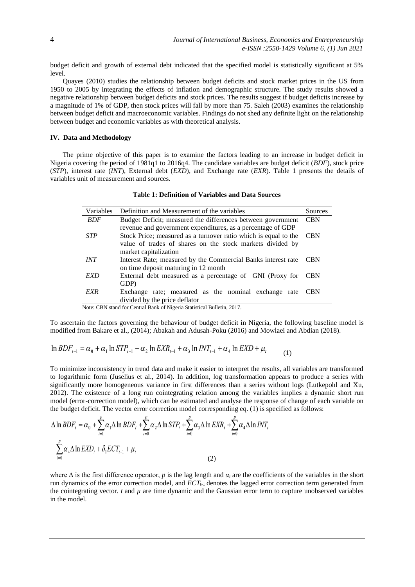budget deficit and growth of external debt indicated that the specified model is statistically significant at 5% level.

Quayes (2010) studies the relationship between budget deficits and stock market prices in the US from 1950 to 2005 by integrating the effects of inflation and demographic structure. The study results showed a negative relationship between budget deficits and stock prices. The results suggest if budget deficits increase by a magnitude of 1% of GDP, then stock prices will fall by more than 75. Saleh (2003) examines the relationship between budget deficit and macroeconomic variables. Findings do not shed any definite light on the relationship between budget and economic variables as with theoretical analysis.

## **IV. Data and Methodology**

The prime objective of this paper is to examine the factors leading to an increase in budget deficit in Nigeria covering the period of 1981q1 to 2016q4. The candidate variables are budget deficit (*BDF*), stock price (*STP*), interest rate (*INT*), External debt (*EXD*), and Exchange rate (*EXR*). Table 1 presents the details of variables unit of measurement and sources.

| Variables                                                               | Definition and Measurement of the variables                                   | Sources    |  |  |  |
|-------------------------------------------------------------------------|-------------------------------------------------------------------------------|------------|--|--|--|
| <b>BDF</b>                                                              | Budget Deficit; measured the differences between government                   |            |  |  |  |
|                                                                         | revenue and government expenditures, as a percentage of GDP                   |            |  |  |  |
| <b>STP</b>                                                              | Stock Price; measured as a turnover ratio which is equal to the<br><b>CBN</b> |            |  |  |  |
|                                                                         | value of trades of shares on the stock markets divided by                     |            |  |  |  |
|                                                                         | market capitalization                                                         |            |  |  |  |
| <i>INT</i>                                                              | Interest Rate; measured by the Commercial Banks interest rate                 | <b>CBN</b> |  |  |  |
|                                                                         | on time deposit maturing in 12 month                                          |            |  |  |  |
| EXD                                                                     | External debt measured as a percentage of GNI (Proxy for                      | <b>CBN</b> |  |  |  |
|                                                                         | GDP)                                                                          |            |  |  |  |
| EXR                                                                     | Exchange rate; measured as the nominal exchange rate                          | <b>CBN</b> |  |  |  |
|                                                                         | divided by the price deflator                                                 |            |  |  |  |
| Note: CBN stand for Central Bank of Nigeria Statistical Bulletin, 2017. |                                                                               |            |  |  |  |

**Table 1: Definition of Variables and Data Sources**

To ascertain the factors governing the behaviour of budget deficit in Nigeria, the following baseline model is modified from Bakare et al., (2014); Abakah and Adusah-Poku (2016) and Mowlaei and Abdian (2018).

$$
\ln BDF_{t-1} = \alpha_0 + \alpha_1 \ln STP_{t-1} + \alpha_2 \ln EXR_{t-1} + \alpha_3 \ln INT_{t-1} + \alpha_4 \ln EXP + \mu_t
$$
 (1)

To minimize inconsistency in trend data and make it easier to interpret the results, all variables are transformed to logarithmic form (Juselius et al., 2014). In addition, log transformation appears to produce a series with significantly more homogeneous variance in first differences than a series without logs (Lutkepohl and Xu, 2012). The existence of a long run cointegrating relation among the variables implies a dynamic short run model (error-correction model), which can be estimated and analyse the response of change of each variable on the budget deficit. The vector error correction model corresponding eq. (1) is specified as follows:

$$
\Delta \ln BDF_t = \alpha_0 + \sum_{i=1}^p \alpha_i \Delta \ln BDF_t + \sum_{i=0}^p \alpha_2 \Delta \ln STP_t + \sum_{i=0}^p \alpha_3 \Delta \ln EXR_t + \sum_{i=0}^p \alpha_4 \Delta \ln INT_t
$$
  
+ 
$$
\sum_{i=0}^p \alpha_4 \Delta \ln EXD_t + \delta_1 ECT_{t-1} + \mu_t
$$
 (2)

where  $\Delta$  is the first difference operator, *p* is the lag length and  $\alpha_i$  are the coefficients of the variables in the short run dynamics of the error correction model, and *ECT*<sub>t-1</sub> denotes the lagged error correction term generated from the cointegrating vector.  $t$  and  $\mu$  are time dynamic and the Gaussian error term to capture unobserved variables in the model.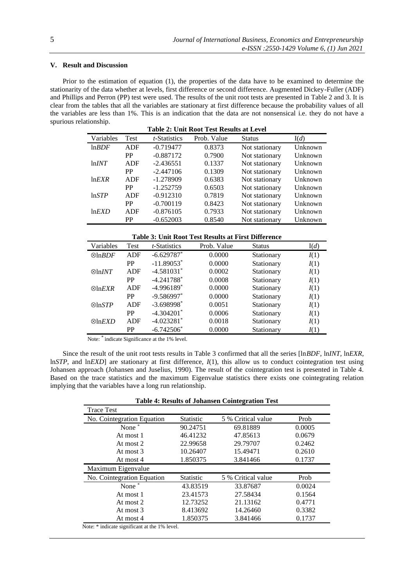# **V. Result and Discussion**

Prior to the estimation of equation (1), the properties of the data have to be examined to determine the stationarity of the data whether at levels, first difference or second difference. Augmented Dickey-Fuller (ADF) and Phillips and Perron (PP) test were used. The results of the unit root tests are presented in Table 2 and 3. It is clear from the tables that all the variables are stationary at first difference because the probability values of all the variables are less than 1%. This is an indication that the data are not nonsensical i.e. they do not have a spurious relationship.

| <b>Table 2: Unit Root Test Results at Level</b> |            |                      |             |                |         |
|-------------------------------------------------|------------|----------------------|-------------|----------------|---------|
| Variables                                       | Test       | <i>t</i> -Statistics | Prob. Value | <b>Status</b>  | I(d)    |
| lnBDF                                           | <b>ADF</b> | $-0.719477$          | 0.8373      | Not stationary | Unknown |
|                                                 | <b>PP</b>  | $-0.887172$          | 0.7900      | Not stationary | Unknown |
| lnINT                                           | ADF        | $-2.436551$          | 0.1337      | Not stationary | Unknown |
|                                                 | <b>PP</b>  | $-2.447106$          | 0.1309      | Not stationary | Unknown |
| lnEXR                                           | ADF        | $-1.278909$          | 0.6383      | Not stationary | Unknown |
|                                                 | PP         | $-1.252759$          | 0.6503      | Not stationary | Unknown |
| lnSTP                                           | ADF        | $-0.912310$          | 0.7819      | Not stationary | Unknown |
|                                                 | <b>PP</b>  | $-0.700119$          | 0.8423      | Not stationary | Unknown |
| $ln$ <i>EXD</i>                                 | ADF        | $-0.876105$          | 0.7933      | Not stationary | Unknown |
|                                                 | <b>PP</b>  | $-0.652003$          | 0.8540      | Not stationary | Unknown |

**Table 3: Unit Root Test Results at First Difference**

| Variables               | Test       | <i>t</i> -Statistics     | Prob. Value | <b>Status</b> | I(d) |
|-------------------------|------------|--------------------------|-------------|---------------|------|
| $\otimes$ ln <i>BDF</i> | <b>ADF</b> | $-6.629787$ <sup>*</sup> | 0.0000      | Stationary    | I(1) |
|                         | <b>PP</b>  | $-11.89053$ <sup>*</sup> | 0.0000      | Stationary    | I(1) |
| $\otimes$ ln <i>INT</i> | ADF        | $-4.581031*$             | 0.0002      | Stationary    | I(1) |
|                         | <b>PP</b>  | $-4.241788$ <sup>*</sup> | 0.0008      | Stationary    | I(1) |
| $\otimes$ ln $EXR$      | <b>ADF</b> | $-4.996189$ <sup>*</sup> | 0.0000      | Stationary    | I(1) |
|                         | <b>PP</b>  | $-9.586997$ *            | 0.0000      | Stationary    | I(1) |
| $\otimes$ ln $STP$      | <b>ADF</b> | $-3.698998$ <sup>*</sup> | 0.0051      | Stationary    | I(1) |
|                         | <b>PP</b>  | $-4.304201*$             | 0.0006      | Stationary    | I(1) |
| $\otimes$ ln <i>EXD</i> | <b>ADF</b> | $-4.023281$ <sup>*</sup> | 0.0018      | Stationary    | I(1) |
|                         | <b>PP</b>  | $-6.742506*$             | 0.0000      | Stationary    | I(1) |

Note: \* indicate Significance at the 1% level.

Since the result of the unit root tests results in Table 3 confirmed that all the series [ln*BDF*, ln*INT,* ln*EXR,* ln*STP*, and ln*EXD*] are stationary at first difference, *I*(1), this allow us to conduct cointegration test using Johansen approach (Johansen and Juselius, 1990). The result of the cointegration test is presented in Table 4. Based on the trace statistics and the maximum Eigenvalue statistics there exists one cointegrating relation implying that the variables have a long run relationship.

| <b>Table 4: Results of Johansen Cointegration Test</b> |  |
|--------------------------------------------------------|--|
|--------------------------------------------------------|--|

| <b>Trace Test</b>                                    |                  |                    |        |  |
|------------------------------------------------------|------------------|--------------------|--------|--|
| No. Cointegration Equation                           | <b>Statistic</b> | 5 % Critical value | Prob   |  |
| None $*$                                             | 90.24751         | 69.81889           | 0.0005 |  |
| At most 1                                            | 46.41232         | 47.85613           | 0.0679 |  |
| At most 2                                            | 22.99658         | 29.79707           | 0.2462 |  |
| At most 3                                            | 10.26407         | 15.49471           | 0.2610 |  |
| At most 4                                            | 1.850375         | 3.841466           | 0.1737 |  |
| Maximum Eigenvalue                                   |                  |                    |        |  |
| No. Cointegration Equation                           | <b>Statistic</b> | 5 % Critical value | Prob   |  |
| None*                                                | 43.83519         | 33.87687           | 0.0024 |  |
| At most 1                                            | 23.41573         | 27.58434           | 0.1564 |  |
| At most 2                                            | 12.73252         | 21.13162           | 0.4771 |  |
| At most 3                                            | 8.413692         | 14.26460           | 0.3382 |  |
| At most 4                                            | 1.850375         | 3.841466           | 0.1737 |  |
| Nota: $*$ indicate gianificant at the $10\ell$ layed |                  |                    |        |  |

Note: \* indicate significant at the 1% level.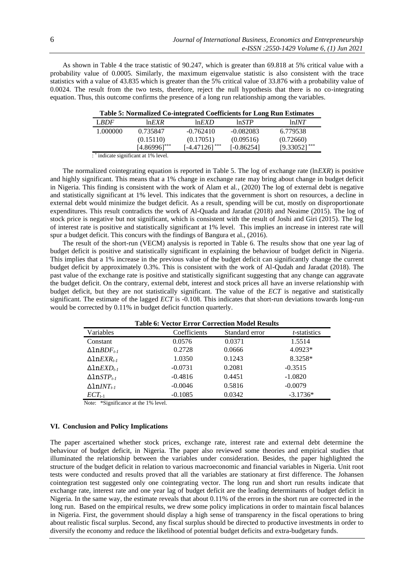As shown in Table 4 the trace statistic of 90.247, which is greater than 69.818 at 5% critical value with a probability value of 0.0005. Similarly, the maximum eigenvalue statistic is also consistent with the trace statistics with a value of 43.835 which is greater than the 5% critical value of 33.876 with a probability value of 0.0024. The result from the two tests, therefore, reject the null hypothesis that there is no co-integrating equation. Thus, this outcome confirms the presence of a long run relationship among the variables.

| Table 5. Formalized Co-mitzi altu Coemelents for Long Kun Estimates |                 |                 |                 |                 |
|---------------------------------------------------------------------|-----------------|-----------------|-----------------|-----------------|
| LBDF                                                                | $ln$ <i>EXR</i> | $ln$ <i>EXD</i> | $ln$ <i>STP</i> | lnINT           |
| 1.000000                                                            | 0.735847        | $-0.762410$     | $-0.082083$     | 6.779538        |
|                                                                     | (0.15110)       | (0.17051)       | (0.09516)       | (0.72660)       |
|                                                                     | $[4.86996]$ *** | $[4.47126]$ *** | [-0.86254]      | $[9.33052]$ *** |
|                                                                     |                 |                 |                 |                 |

| Table 5: Normalized Co-integrated Coefficients for Long Run Estimates |
|-----------------------------------------------------------------------|
|-----------------------------------------------------------------------|

: \* indicate significant at 1% level.

The normalized cointegrating equation is reported in Table 5. The log of exchange rate (ln*EXR*) is positive and highly significant. This means that a 1% change in exchange rate may bring about change in budget deficit in Nigeria. This finding is consistent with the work of Alam et al., (2020) The log of external debt is negative and statistically significant at 1% level. This indicates that the government is short on resources, a decline in external debt would minimize the budget deficit. As a result, spending will be cut, mostly on disproportionate expenditures. This result contradicts the work of Al-Quada and Jaradat (2018) and Neaime (2015). The log of stock price is negative but not significant, which is consistent with the result of Joshi and Giri (2015). The log of interest rate is positive and statistically significant at 1% level. This implies an increase in interest rate will spur a budget deficit. This concurs with the findings of Bangura et al., (2016).

The result of the short-run (VECM) analysis is reported in Table 6. The results show that one year lag of budget deficit is positive and statistically significant in explaining the behaviour of budget deficit in Nigeria. This implies that a 1% increase in the previous value of the budget deficit can significantly change the current budget deficit by approximately 0.3%. This is consistent with the work of Al-Qudah and Jaradat (2018). The past value of the exchange rate is positive and statistically significant suggesting that any change can aggravate the budget deficit. On the contrary, external debt, interest and stock prices all have an inverse relationship with budget deficit, but they are not statistically significant. The value of the *ECT* is negative and statistically significant. The estimate of the lagged *ECT* is -0.108. This indicates that short-run deviations towards long-run would be corrected by 0.11% in budget deficit function quarterly.

| <b>Table 6: Vector Error Correction Model Results</b> |              |                |                      |  |  |  |
|-------------------------------------------------------|--------------|----------------|----------------------|--|--|--|
| Variables                                             | Coefficients | Standard error | <i>t</i> -statistics |  |  |  |
| Constant                                              | 0.0576       | 0.0371         | 1.5514               |  |  |  |
| $\Delta$ ln $BDF_{t-1}$                               | 0.2728       | 0.0666         | $4.0923*$            |  |  |  |
| $\Delta$ ln $EXR_{t-1}$                               | 1.0350       | 0.1243         | 8.3258*              |  |  |  |
| $\Delta$ ln $EXD_{t-1}$                               | $-0.0731$    | 0.2081         | $-0.3515$            |  |  |  |
| $\Delta$ ln $STP_{t-1}$                               | $-0.4816$    | 0.4451         | $-1.0820$            |  |  |  |
| $\Delta$ ln <i>INT</i> <sub>t-1</sub>                 | $-0.0046$    | 0.5816         | $-0.0079$            |  |  |  |
| $ECT_{t-1}$                                           | $-0.1085$    | 0.0342         | $-3.1736*$           |  |  |  |

Note: \*Significance at the 1% level.

### **VI. Conclusion and Policy Implications**

The paper ascertained whether stock prices, exchange rate, interest rate and external debt determine the behaviour of budget deficit, in Nigeria. The paper also reviewed some theories and empirical studies that illuminated the relationship between the variables under consideration. Besides, the paper highlighted the structure of the budget deficit in relation to various macroeconomic and financial variables in Nigeria. Unit root tests were conducted and results proved that all the variables are stationary at first difference. The Johansen cointegration test suggested only one cointegrating vector. The long run and short run results indicate that exchange rate, interest rate and one year lag of budget deficit are the leading determinants of budget deficit in Nigeria. In the same way, the estimate reveals that about 0.11% of the errors in the short run are corrected in the long run. Based on the empirical results, we drew some policy implications in order to maintain fiscal balances in Nigeria. First, the government should display a high sense of transparency in the fiscal operations to bring about realistic fiscal surplus. Second, any fiscal surplus should be directed to productive investments in order to diversify the economy and reduce the likelihood of potential budget deficits and extra-budgetary funds.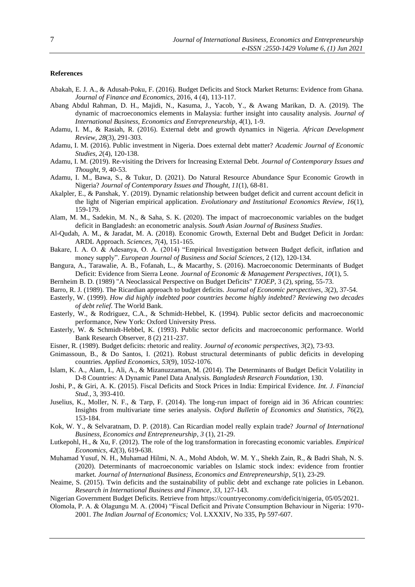#### **References**

- Abakah, E. J. A., & Adusah-Poku, F. (2016). Budget Deficits and Stock Market Returns: Evidence from Ghana. *Journal of Finance and Economics*, 2016, 4 (4), 113-117.
- Abang Abdul Rahman, D. H., Majidi, N., Kasuma, J., Yacob, Y., & Awang Marikan, D. A. (2019). The dynamic of macroeconomics elements in Malaysia: further insight into causality analysis. *Journal of International Business, Economics and Entrepreneurship*, *4*(1), 1-9.
- Adamu, I. M., & Rasiah, R. (2016). External debt and growth dynamics in Nigeria. *African Development Review*, *28*(3), 291-303.
- Adamu, I. M. (2016). Public investment in Nigeria. Does external debt matter? *Academic Journal of Economic Studies*, *2*(4), 120-138.
- Adamu, I. M. (2019). Re-visiting the Drivers for Increasing External Debt. *Journal of Contemporary Issues and Thought*, *9*, 40-53.
- Adamu, I. M., Bawa, S., & Tukur, D. (2021). Do Natural Resource Abundance Spur Economic Growth in Nigeria? *Journal of Contemporary Issues and Thought*, *11*(1), 68-81.
- Akalpler, E., & Panshak, Y. (2019). Dynamic relationship between budget deficit and current account deficit in the light of Nigerian empirical application. *Evolutionary and Institutional Economics Review*, *16*(1), 159-179.
- Alam, M. M., Sadekin, M. N., & Saha, S. K. (2020). The impact of macroeconomic variables on the budget deficit in Bangladesh: an econometric analysis. *South Asian Journal of Business Studies*.
- Al-Qudah, A. M., & Jaradat, M. A. (2018). Economic Growth, External Debt and Budget Deficit in Jordan: ARDL Approach. *Sciences*, *7*(4), 151-165.
- Bakare, I. A. O. & Adesanya, O. A. (2014) "Empirical Investigation between Budget deficit, inflation and money supply". *European Journal of Business and Social Sciences*, 2 (12), 120-134.
- Bangura, A., Tarawalie, A. B., Fofanah, L., & Macarthy, S. (2016). Macroeconomic Determinants of Budget Deficit: Evidence from Sierra Leone. *Journal of Economic & Management Perspectives*, *10*(1), 5.
- Bernheim B. D. (1989) "A Neoclassical Perspective on Budget Deficits" *TJOEP*, 3 (2), spring, 55-73.
- Barro, R. J. (1989). The Ricardian approach to budget deficits. *Journal of Economic perspectives*, *3*(2), 37-54.
- Easterly, W. (1999). *How did highly indebted poor countries become highly indebted? Reviewing two decades of debt relief*. The World Bank.
- Easterly, W., & Rodriguez, C.A., & Schmidt-Hebbel, K. (1994). Public sector deficits and macroeconomic performance, New York: Oxford University Press.
- Easterly, W. & Schmidt-Hebbel, K. (1993). Public sector deficits and macroeconomic performance. World Bank Research Observer, 8 (2) 211-237.
- Eisner, R. (1989). Budget deficits: rhetoric and reality. *Journal of economic perspectives*, *3*(2), 73-93.
- Gnimassoun, B., & Do Santos, I. (2021). Robust structural determinants of public deficits in developing countries. *Applied Economics*, *53*(9), 1052-1076.
- Islam, K. A., Alam, I., Ali, A., & Mizanuzzaman, M. (2014). The Determinants of Budget Deficit Volatility in D-8 Countries: A Dynamic Panel Data Analysis. *Bangladesh Research Foundation*, 130.
- Joshi, P., & Giri, A. K. (2015). Fiscal Deficits and Stock Prices in India: Empirical Evidence. *Int. J. Financial Stud.*, 3, 393-410.
- Juselius, K., Moller, N. F., & Tarp, F. (2014). The long-run impact of foreign aid in 36 African countries: Insights from multivariate time series analysis. *Oxford Bulletin of Economics and Statistics*, *76*(2), 153-184.
- Kok, W. Y., & Selvaratnam, D. P. (2018). Can Ricardian model really explain trade? *Journal of International Business, Economics and Entrepreneurship*, *3* (1), 21-29.
- Lutkepohl, H., & Xu, F. (2012). The role of the log transformation in forecasting economic variables. *Empirical Economics*, *42*(3), 619-638.
- Muhamad Yusuf, N. H., Muhamad Hilmi, N. A., Mohd Abdoh, W. M. Y., Shekh Zain, R., & Badri Shah, N. S. (2020). Determinants of macroeconomic variables on Islamic stock index: evidence from frontier market. *Journal of International Business, Economics and Entrepreneurship*, *5*(1), 23-29.
- Neaime, S. (2015). Twin deficits and the sustainability of public debt and exchange rate policies in Lebanon. *Research in International Business and Finance*, *33*, 127-143.
- Nigerian Government Budget Deficits. Retrieve from [https://countryeconomy.com/deficit/nigeria,](https://countryeconomy.com/deficit/nigeria) 05/05/2021.
- Olomola, P. A. & Olagungu M. A. (2004) "Fiscal Deficit and Private Consumption Behaviour in Nigeria: 1970- 2001. *The Indian Journal of Economics;* Vol. LXXXIV, No 335, Pp 597-607.